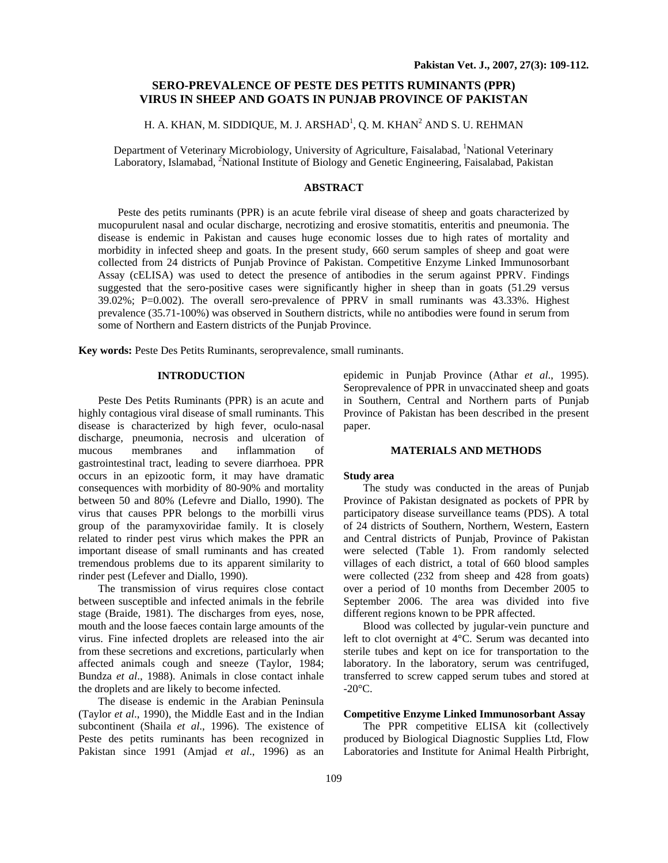# **SERO-PREVALENCE OF PESTE DES PETITS RUMINANTS (PPR) VIRUS IN SHEEP AND GOATS IN PUNJAB PROVINCE OF PAKISTAN**

# H. A. KHAN, M. SIDDIQUE, M. J. ARSHAD<sup>1</sup>, Q. M. KHAN<sup>2</sup> AND S. U. REHMAN

Department of Veterinary Microbiology, University of Agriculture, Faisalabad, <sup>1</sup>National Veterinary Laboratory, Islamabad, <sup>2</sup>National Institute of Biology and Genetic Engineering, Faisalabad, Pakistan

# **ABSTRACT**

Peste des petits ruminants (PPR) is an acute febrile viral disease of sheep and goats characterized by mucopurulent nasal and ocular discharge, necrotizing and erosive stomatitis, enteritis and pneumonia. The disease is endemic in Pakistan and causes huge economic losses due to high rates of mortality and morbidity in infected sheep and goats. In the present study, 660 serum samples of sheep and goat were collected from 24 districts of Punjab Province of Pakistan. Competitive Enzyme Linked Immunosorbant Assay (cELISA) was used to detect the presence of antibodies in the serum against PPRV. Findings suggested that the sero-positive cases were significantly higher in sheep than in goats (51.29 versus 39.02%; P=0.002). The overall sero-prevalence of PPRV in small ruminants was 43.33%. Highest prevalence (35.71-100%) was observed in Southern districts, while no antibodies were found in serum from some of Northern and Eastern districts of the Punjab Province.

**Key words:** Peste Des Petits Ruminants, seroprevalence, small ruminants.

### **INTRODUCTION**

Peste Des Petits Ruminants (PPR) is an acute and highly contagious viral disease of small ruminants. This disease is characterized by high fever, oculo-nasal discharge, pneumonia, necrosis and ulceration of mucous membranes and inflammation of gastrointestinal tract, leading to severe diarrhoea. PPR occurs in an epizootic form, it may have dramatic consequences with morbidity of 80-90% and mortality between 50 and 80% (Lefevre and Diallo, 1990). The virus that causes PPR belongs to the morbilli virus group of the paramyxoviridae family. It is closely related to rinder pest virus which makes the PPR an important disease of small ruminants and has created tremendous problems due to its apparent similarity to rinder pest (Lefever and Diallo, 1990).

The transmission of virus requires close contact between susceptible and infected animals in the febrile stage (Braide, 1981). The discharges from eyes, nose, mouth and the loose faeces contain large amounts of the virus. Fine infected droplets are released into the air from these secretions and excretions, particularly when affected animals cough and sneeze (Taylor, 1984; Bundza *et al*., 1988). Animals in close contact inhale the droplets and are likely to become infected.

The disease is endemic in the Arabian Peninsula (Taylor *et al*., 1990), the Middle East and in the Indian subcontinent (Shaila *et al*., 1996). The existence of Peste des petits ruminants has been recognized in Pakistan since 1991 (Amjad *et al*., 1996) as an

epidemic in Punjab Province (Athar *et al*., 1995). Seroprevalence of PPR in unvaccinated sheep and goats in Southern, Central and Northern parts of Punjab Province of Pakistan has been described in the present paper.

#### **MATERIALS AND METHODS**

#### **Study area**

The study was conducted in the areas of Punjab Province of Pakistan designated as pockets of PPR by participatory disease surveillance teams (PDS). A total of 24 districts of Southern, Northern, Western, Eastern and Central districts of Punjab, Province of Pakistan were selected (Table 1). From randomly selected villages of each district, a total of 660 blood samples were collected (232 from sheep and 428 from goats) over a period of 10 months from December 2005 to September 2006. The area was divided into five different regions known to be PPR affected.

Blood was collected by jugular-vein puncture and left to clot overnight at 4°C. Serum was decanted into sterile tubes and kept on ice for transportation to the laboratory. In the laboratory, serum was centrifuged, transferred to screw capped serum tubes and stored at  $-20^{\circ}$ C.

## **Competitive Enzyme Linked Immunosorbant Assay**

The PPR competitive ELISA kit (collectively produced by Biological Diagnostic Supplies Ltd, Flow Laboratories and Institute for Animal Health Pirbright,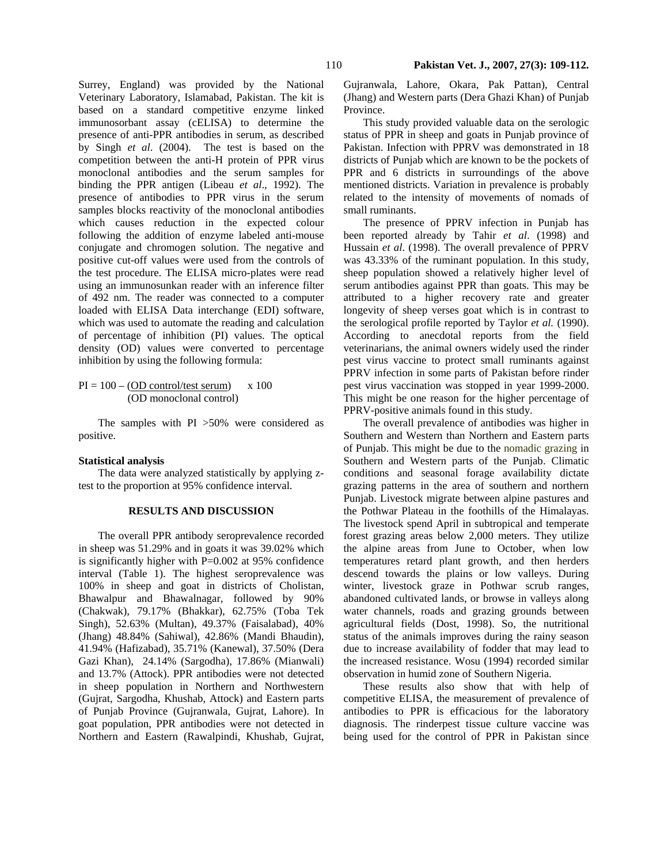Surrey, England) was provided by the National Veterinary Laboratory, Islamabad, Pakistan. The kit is based on a standard competitive enzyme linked immunosorbant assay (cELISA) to determine the presence of anti-PPR antibodies in serum, as described by Singh *et al*. (2004). The test is based on the competition between the anti-H protein of PPR virus monoclonal antibodies and the serum samples for binding the PPR antigen (Libeau *et al*., 1992). The presence of antibodies to PPR virus in the serum samples blocks reactivity of the monoclonal antibodies which causes reduction in the expected colour following the addition of enzyme labeled anti-mouse conjugate and chromogen solution. The negative and positive cut-off values were used from the controls of the test procedure. The ELISA micro-plates were read using an immunosunkan reader with an inference filter of 492 nm. The reader was connected to a computer loaded with ELISA Data interchange (EDI) software, which was used to automate the reading and calculation of percentage of inhibition (PI) values. The optical density (OD) values were converted to percentage inhibition by using the following formula:

 $PI = 100 - (OD control/test serum)$  x 100 (OD monoclonal control)

The samples with PI >50% were considered as positive.

### **Statistical analysis**

The data were analyzed statistically by applying ztest to the proportion at 95% confidence interval.

### **RESULTS AND DISCUSSION**

The overall PPR antibody seroprevalence recorded in sheep was 51.29% and in goats it was 39.02% which is significantly higher with P=0.002 at 95% confidence interval (Table 1). The highest seroprevalence was 100% in sheep and goat in districts of Cholistan, Bhawalpur and Bhawalnagar, followed by 90% (Chakwak), 79.17% (Bhakkar), 62.75% (Toba Tek Singh), 52.63% (Multan), 49.37% (Faisalabad), 40% (Jhang) 48.84% (Sahiwal), 42.86% (Mandi Bhaudin), 41.94% (Hafizabad), 35.71% (Kanewal), 37.50% (Dera Gazi Khan), 24.14% (Sargodha), 17.86% (Mianwali) and 13.7% (Attock). PPR antibodies were not detected in sheep population in Northern and Northwestern (Gujrat, Sargodha, Khushab, Attock) and Eastern parts of Punjab Province (Gujranwala, Gujrat, Lahore). In goat population, PPR antibodies were not detected in Northern and Eastern (Rawalpindi, Khushab, Gujrat, Gujranwala, Lahore, Okara, Pak Pattan), Central (Jhang) and Western parts (Dera Ghazi Khan) of Punjab Province.

This study provided valuable data on the serologic status of PPR in sheep and goats in Punjab province of Pakistan. Infection with PPRV was demonstrated in 18 districts of Punjab which are known to be the pockets of PPR and 6 districts in surroundings of the above mentioned districts. Variation in prevalence is probably related to the intensity of movements of nomads of small ruminants.

The presence of PPRV infection in Punjab has been reported already by Tahir *et al*. (1998) and Hussain *et al*. (1998). The overall prevalence of PPRV was 43.33% of the ruminant population. In this study, sheep population showed a relatively higher level of serum antibodies against PPR than goats. This may be attributed to a higher recovery rate and greater longevity of sheep verses goat which is in contrast to the serological profile reported by Taylor *et al.* (1990). According to anecdotal reports from the field veterinarians, the animal owners widely used the rinder pest virus vaccine to protect small ruminants against PPRV infection in some parts of Pakistan before rinder pest virus vaccination was stopped in year 1999-2000. This might be one reason for the higher percentage of PPRV-positive animals found in this study.

The overall prevalence of antibodies was higher in Southern and Western than Northern and Eastern parts of Punjab. This might be due to the nomadic grazing in Southern and Western parts of the Punjab. Climatic conditions and seasonal forage availability dictate grazing patterns in the area of southern and northern Punjab. Livestock migrate between alpine pastures and the Pothwar Plateau in the foothills of the Himalayas. The livestock spend April in subtropical and temperate forest grazing areas below 2,000 meters. They utilize the alpine areas from June to October, when low temperatures retard plant growth, and then herders descend towards the plains or low valleys. During winter, livestock graze in Pothwar scrub ranges, abandoned cultivated lands, or browse in valleys along water channels, roads and grazing grounds between agricultural fields (Dost, 1998). So, the nutritional status of the animals improves during the rainy season due to increase availability of fodder that may lead to the increased resistance. Wosu (1994) recorded similar observation in humid zone of Southern Nigeria.

These results also show that with help of competitive ELISA, the measurement of prevalence of antibodies to PPR is efficacious for the laboratory diagnosis. The rinderpest tissue culture vaccine was being used for the control of PPR in Pakistan since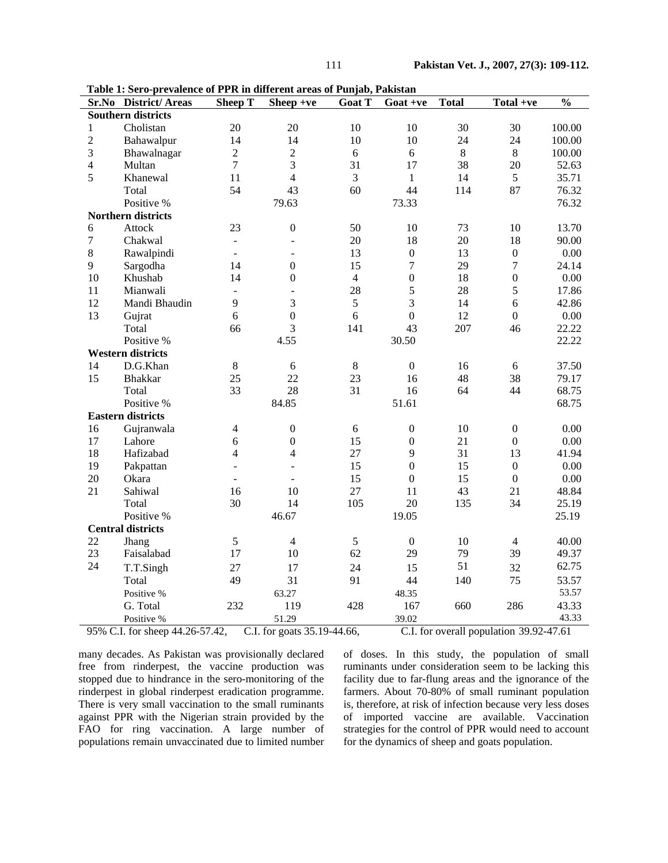| Table 1: Sero-prevalence of PPR in different areas of Punjab, Pakistan |                      |                          |                  |                |                                         |              |                  |               |
|------------------------------------------------------------------------|----------------------|--------------------------|------------------|----------------|-----------------------------------------|--------------|------------------|---------------|
|                                                                        | Sr.No District/Areas | <b>Sheep T</b>           | Sheep +ve        | Goat T         | $Goat +ve$                              | <b>Total</b> | Total +ve        | $\frac{0}{0}$ |
| <b>Southern districts</b>                                              |                      |                          |                  |                |                                         |              |                  |               |
| $\mathbf{1}$                                                           | Cholistan            | 20                       | 20               | 10             | 10                                      | 30           | 30               | 100.00        |
| $\overline{2}$                                                         | Bahawalpur           | 14                       | 14               | 10             | 10                                      | 24           | 24               | 100.00        |
| 3                                                                      | Bhawalnagar          | $\overline{2}$           | $\overline{2}$   | 6              | 6                                       | $8\,$        | 8                | 100.00        |
| $\overline{4}$                                                         | Multan               | $\overline{7}$           | 3                | 31             | 17                                      | 38           | 20               | 52.63         |
| 5                                                                      | Khanewal             | 11                       | $\overline{4}$   | 3              | $\mathbf{1}$                            | 14           | 5                | 35.71         |
|                                                                        | Total                | 54                       | 43               | 60             | 44                                      | 114          | 87               | 76.32         |
|                                                                        | Positive %           |                          | 79.63            |                | 73.33                                   |              |                  | 76.32         |
| <b>Northern districts</b>                                              |                      |                          |                  |                |                                         |              |                  |               |
| 6                                                                      | Attock               | 23                       | $\boldsymbol{0}$ | 50             | 10                                      | 73           | 10               | 13.70         |
| $\overline{7}$                                                         | Chakwal              | $\overline{a}$           | $\overline{a}$   | 20             | 18                                      | 20           | 18               | 90.00         |
| 8                                                                      | Rawalpindi           | $\blacksquare$           | $\blacksquare$   | 13             | $\boldsymbol{0}$                        | 13           | $\boldsymbol{0}$ | 0.00          |
| 9                                                                      | Sargodha             | 14                       | $\mathbf{0}$     | 15             | $\tau$                                  | 29           | $\overline{7}$   | 24.14         |
| 10                                                                     | Khushab              | 14                       | $\boldsymbol{0}$ | $\overline{4}$ | $\boldsymbol{0}$                        | 18           | $\boldsymbol{0}$ | 0.00          |
| 11                                                                     | Mianwali             | ÷,                       | $\equiv$         | 28             | 5                                       | 28           | 5                | 17.86         |
| 12                                                                     | Mandi Bhaudin        | 9                        | 3                | $\sqrt{5}$     | 3                                       | 14           | 6                | 42.86         |
| 13                                                                     | Gujrat               | 6                        | $\mathbf 0$      | 6              | $\overline{0}$                          | 12           | $\boldsymbol{0}$ | 0.00          |
|                                                                        | Total                | 66                       | 3                | 141            | 43                                      | 207          | 46               | 22.22         |
|                                                                        | Positive %           |                          | 4.55             |                | 30.50                                   |              |                  | 22.22         |
| <b>Western districts</b>                                               |                      |                          |                  |                |                                         |              |                  |               |
| 14                                                                     | D.G.Khan             | $8\,$                    | 6                | 8              | $\boldsymbol{0}$                        | 16           | 6                | 37.50         |
| 15                                                                     | <b>Bhakkar</b>       | 25                       | 22               | 23             | 16                                      | 48           | 38               | 79.17         |
|                                                                        | Total                | 33                       | 28               | 31             | 16                                      | 64           | 44               | 68.75         |
|                                                                        | Positive %           |                          | 84.85            |                | 51.61                                   |              |                  | 68.75         |
| <b>Eastern districts</b>                                               |                      |                          |                  |                |                                         |              |                  |               |
| 16                                                                     | Gujranwala           | 4                        | $\boldsymbol{0}$ | 6              | $\boldsymbol{0}$                        | 10           | $\boldsymbol{0}$ | 0.00          |
| 17                                                                     | Lahore               | 6                        | $\mathbf{0}$     | 15             | $\boldsymbol{0}$                        | 21           | $\boldsymbol{0}$ | 0.00          |
| 18                                                                     | Hafizabad            | 4                        | 4                | 27             | 9                                       | 31           | 13               | 41.94         |
| 19                                                                     | Pakpattan            | $\overline{\phantom{a}}$ | $\blacksquare$   | 15             | $\overline{0}$                          | 15           | $\overline{0}$   | 0.00          |
| 20                                                                     | Okara                | ÷.                       | ÷.               | 15             | $\boldsymbol{0}$                        | 15           | $\boldsymbol{0}$ | 0.00          |
| 21                                                                     | Sahiwal              | 16                       | 10               | 27             | 11                                      | 43           | 21               | 48.84         |
|                                                                        | Total                | 30                       | 14               | 105            | 20                                      | 135          | 34               | 25.19         |
|                                                                        | Positive %           |                          | 46.67            |                | 19.05                                   |              |                  | 25.19         |
| <b>Central districts</b>                                               |                      |                          |                  |                |                                         |              |                  |               |
| 22                                                                     | Jhang                | 5                        | $\overline{4}$   | 5              | $\mathbf{0}$                            | 10           | $\overline{4}$   | 40.00         |
| 23                                                                     | Faisalabad           | 17                       | 10               | 62             | 29                                      | 79           | 39               | 49.37         |
| 24                                                                     | T.T.Singh            | 27                       | 17               | 24             | 15                                      | 51           | 32               | 62.75         |
|                                                                        | Total                | 49                       | 31               | 91             | 44                                      | 140          | 75               | 53.57         |
|                                                                        | Positive %           |                          | 63.27            |                | 48.35                                   |              |                  | 53.57         |
|                                                                        | G. Total             | 232                      | 119              | 428            | 167                                     | 660          | 286              | 43.33         |
|                                                                        | Positive %           |                          | 51.29            |                | 39.02                                   |              |                  | 43.33         |
|                                                                        |                      |                          |                  |                |                                         |              |                  |               |
| 95% C.I. for sheep 44.26-57.42,<br>C.I. for goats 35.19-44.66,         |                      |                          |                  |                | C.I. for overall population 39.92-47.61 |              |                  |               |

**Table 1: Sero-prevalence of PPR in different areas of Punjab, Pakistan** 

many decades. As Pakistan was provisionally declared free from rinderpest, the vaccine production was stopped due to hindrance in the sero-monitoring of the rinderpest in global rinderpest eradication programme. There is very small vaccination to the small ruminants against PPR with the Nigerian strain provided by the FAO for ring vaccination. A large number of populations remain unvaccinated due to limited number of doses. In this study, the population of small ruminants under consideration seem to be lacking this facility due to far-flung areas and the ignorance of the farmers. About 70-80% of small ruminant population is, therefore, at risk of infection because very less doses of imported vaccine are available. Vaccination strategies for the control of PPR would need to account for the dynamics of sheep and goats population.